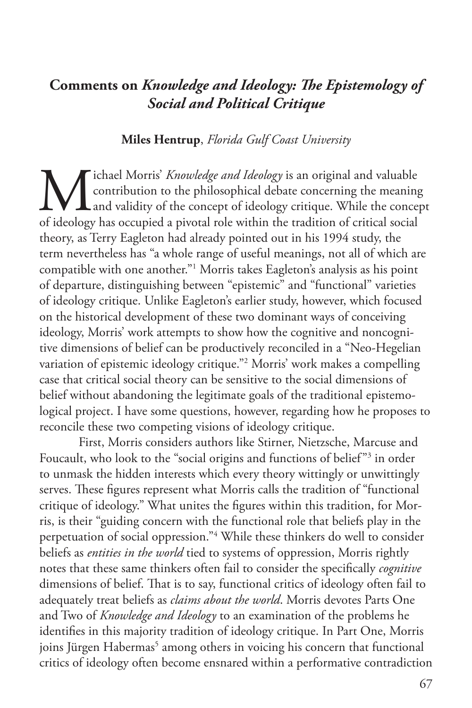# **Comments on** *Knowledge and Ideology: The Epistemology of Social and Political Critique*

#### **Miles Hentrup**, *Florida Gulf Coast University*

**M**ichael Morris' *Knowledge and Ideology* is an original and valuable contribution to the philosophical debate concerning the meaning of ideology has occupied a pivotal role within the tradition of critical social contribution to the philosophical debate concerning the meaning and validity of the concept of ideology critique. While the concept of ideology has occupied a pivotal role within the tradition of critical social theory, as Terry Eagleton had already pointed out in his 1994 study, the term nevertheless has "a whole range of useful meanings, not all of which are compatible with one another."1 Morris takes Eagleton's analysis as his point of departure, distinguishing between "epistemic" and "functional" varieties of ideology critique. Unlike Eagleton's earlier study, however, which focused on the historical development of these two dominant ways of conceiving ideology, Morris' work attempts to show how the cognitive and noncognitive dimensions of belief can be productively reconciled in a "Neo-Hegelian variation of epistemic ideology critique."2 Morris' work makes a compelling case that critical social theory can be sensitive to the social dimensions of belief without abandoning the legitimate goals of the traditional epistemological project. I have some questions, however, regarding how he proposes to reconcile these two competing visions of ideology critique.

First, Morris considers authors like Stirner, Nietzsche, Marcuse and Foucault, who look to the "social origins and functions of belief"<sup>3</sup> in order to unmask the hidden interests which every theory wittingly or unwittingly serves. These figures represent what Morris calls the tradition of "functional critique of ideology." What unites the figures within this tradition, for Morris, is their "guiding concern with the functional role that beliefs play in the perpetuation of social oppression."4 While these thinkers do well to consider beliefs as *entities in the world* tied to systems of oppression, Morris rightly notes that these same thinkers often fail to consider the specifically *cognitive* dimensions of belief. That is to say, functional critics of ideology often fail to adequately treat beliefs as *claims about the world*. Morris devotes Parts One and Two of *Knowledge and Ideology* to an examination of the problems he identifies in this majority tradition of ideology critique. In Part One, Morris joins Jürgen Habermas<sup>5</sup> among others in voicing his concern that functional critics of ideology often become ensnared within a performative contradiction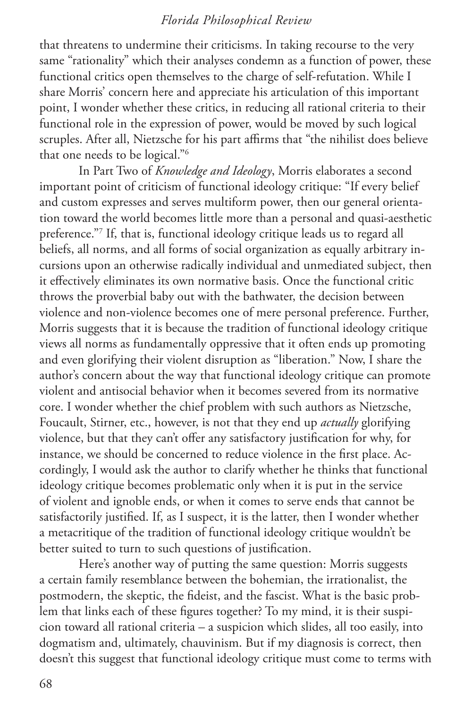#### *Florida Philosophical Review*

that threatens to undermine their criticisms. In taking recourse to the very same "rationality" which their analyses condemn as a function of power, these functional critics open themselves to the charge of self-refutation. While I share Morris' concern here and appreciate his articulation of this important point, I wonder whether these critics, in reducing all rational criteria to their functional role in the expression of power, would be moved by such logical scruples. After all, Nietzsche for his part affirms that "the nihilist does believe that one needs to be logical."6

In Part Two of *Knowledge and Ideology*, Morris elaborates a second important point of criticism of functional ideology critique: "If every belief and custom expresses and serves multiform power, then our general orientation toward the world becomes little more than a personal and quasi-aesthetic preference."7 If, that is, functional ideology critique leads us to regard all beliefs, all norms, and all forms of social organization as equally arbitrary incursions upon an otherwise radically individual and unmediated subject, then it effectively eliminates its own normative basis. Once the functional critic throws the proverbial baby out with the bathwater, the decision between violence and non-violence becomes one of mere personal preference. Further, Morris suggests that it is because the tradition of functional ideology critique views all norms as fundamentally oppressive that it often ends up promoting and even glorifying their violent disruption as "liberation." Now, I share the author's concern about the way that functional ideology critique can promote violent and antisocial behavior when it becomes severed from its normative core. I wonder whether the chief problem with such authors as Nietzsche, Foucault, Stirner, etc., however, is not that they end up *actually* glorifying violence, but that they can't offer any satisfactory justification for why, for instance, we should be concerned to reduce violence in the first place. Accordingly, I would ask the author to clarify whether he thinks that functional ideology critique becomes problematic only when it is put in the service of violent and ignoble ends, or when it comes to serve ends that cannot be satisfactorily justified. If, as I suspect, it is the latter, then I wonder whether a metacritique of the tradition of functional ideology critique wouldn't be better suited to turn to such questions of justification.

Here's another way of putting the same question: Morris suggests a certain family resemblance between the bohemian, the irrationalist, the postmodern, the skeptic, the fideist, and the fascist. What is the basic problem that links each of these figures together? To my mind, it is their suspicion toward all rational criteria – a suspicion which slides, all too easily, into dogmatism and, ultimately, chauvinism. But if my diagnosis is correct, then doesn't this suggest that functional ideology critique must come to terms with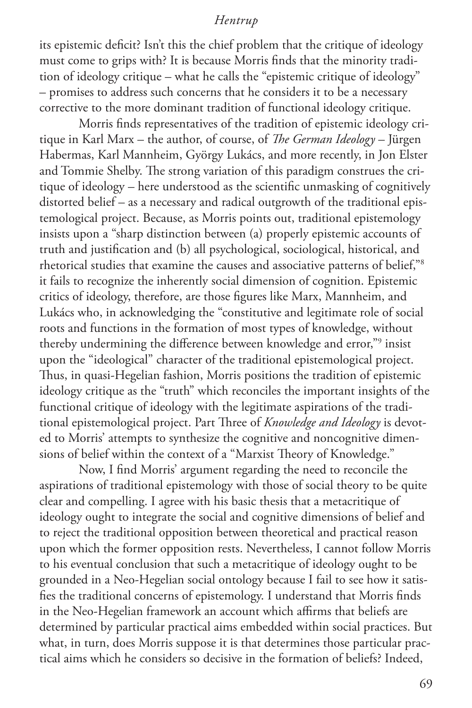#### *Hentrup*

its epistemic deficit? Isn't this the chief problem that the critique of ideology must come to grips with? It is because Morris finds that the minority tradition of ideology critique – what he calls the "epistemic critique of ideology" – promises to address such concerns that he considers it to be a necessary corrective to the more dominant tradition of functional ideology critique.

Morris finds representatives of the tradition of epistemic ideology critique in Karl Marx – the author, of course, of *The German Ideology* – Jürgen Habermas, Karl Mannheim, György Lukács, and more recently, in Jon Elster and Tommie Shelby. The strong variation of this paradigm construes the critique of ideology – here understood as the scientific unmasking of cognitively distorted belief – as a necessary and radical outgrowth of the traditional epistemological project. Because, as Morris points out, traditional epistemology insists upon a "sharp distinction between (a) properly epistemic accounts of truth and justification and (b) all psychological, sociological, historical, and rhetorical studies that examine the causes and associative patterns of belief,"8 it fails to recognize the inherently social dimension of cognition. Epistemic critics of ideology, therefore, are those figures like Marx, Mannheim, and Lukács who, in acknowledging the "constitutive and legitimate role of social roots and functions in the formation of most types of knowledge, without thereby undermining the difference between knowledge and error,"9 insist upon the "ideological" character of the traditional epistemological project. Thus, in quasi-Hegelian fashion, Morris positions the tradition of epistemic ideology critique as the "truth" which reconciles the important insights of the functional critique of ideology with the legitimate aspirations of the traditional epistemological project. Part Three of *Knowledge and Ideology* is devoted to Morris' attempts to synthesize the cognitive and noncognitive dimensions of belief within the context of a "Marxist Theory of Knowledge."

Now, I find Morris' argument regarding the need to reconcile the aspirations of traditional epistemology with those of social theory to be quite clear and compelling. I agree with his basic thesis that a metacritique of ideology ought to integrate the social and cognitive dimensions of belief and to reject the traditional opposition between theoretical and practical reason upon which the former opposition rests. Nevertheless, I cannot follow Morris to his eventual conclusion that such a metacritique of ideology ought to be grounded in a Neo-Hegelian social ontology because I fail to see how it satisfies the traditional concerns of epistemology. I understand that Morris finds in the Neo-Hegelian framework an account which affirms that beliefs are determined by particular practical aims embedded within social practices. But what, in turn, does Morris suppose it is that determines those particular practical aims which he considers so decisive in the formation of beliefs? Indeed,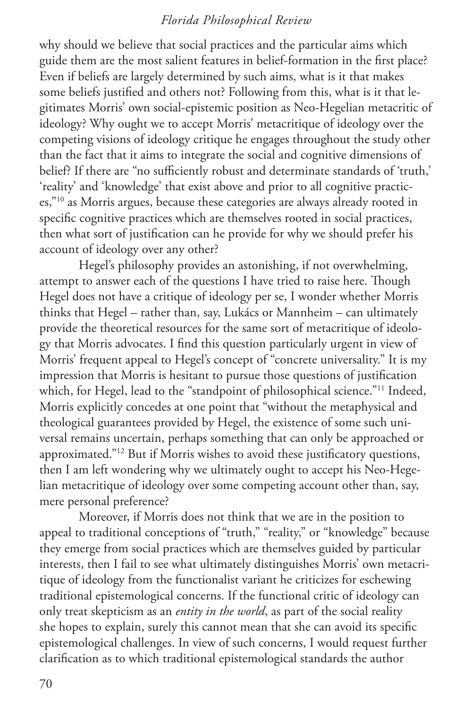### *Florida Philosophical Review*

why should we believe that social practices and the particular aims which guide them are the most salient features in belief-formation in the first place? Even if beliefs are largely determined by such aims, what is it that makes some beliefs justified and others not? Following from this, what is it that legitimates Morris' own social-epistemic position as Neo-Hegelian metacritic of ideology? Why ought we to accept Morris' metacritique of ideology over the competing visions of ideology critique he engages throughout the study other than the fact that it aims to integrate the social and cognitive dimensions of belief? If there are "no sufficiently robust and determinate standards of 'truth,' 'reality' and 'knowledge' that exist above and prior to all cognitive practices,"<sup>10</sup> as Morris argues, because these categories are always already rooted in specific cognitive practices which are themselves rooted in social practices, then what sort of justification can he provide for why we should prefer his account of ideology over any other?

Hegel's philosophy provides an astonishing, if not overwhelming, attempt to answer each of the questions I have tried to raise here. Though Hegel does not have a critique of ideology per se, I wonder whether Morris thinks that Hegel – rather than, say, Lukács or Mannheim – can ultimately provide the theoretical resources for the same sort of metacritique of ideology that Morris advocates. I find this question particularly urgent in view of Morris' frequent appeal to Hegel's concept of "concrete universality." It is my impression that Morris is hesitant to pursue those questions of justification which, for Hegel, lead to the "standpoint of philosophical science."<sup>11</sup> Indeed, Morris explicitly concedes at one point that "without the metaphysical and theological guarantees provided by Hegel, the existence of some such universal remains uncertain, perhaps something that can only be approached or approximated."12 But if Morris wishes to avoid these justificatory questions, then I am left wondering why we ultimately ought to accept his Neo-Hegelian metacritique of ideology over some competing account other than, say, mere personal preference?

Moreover, if Morris does not think that we are in the position to appeal to traditional conceptions of "truth," "reality," or "knowledge" because they emerge from social practices which are themselves guided by particular interests, then I fail to see what ultimately distinguishes Morris' own metacritique of ideology from the functionalist variant he criticizes for eschewing traditional epistemological concerns. If the functional critic of ideology can only treat skepticism as an *entity in the world*, as part of the social reality she hopes to explain, surely this cannot mean that she can avoid its specific epistemological challenges. In view of such concerns, I would request further clarification as to which traditional epistemological standards the author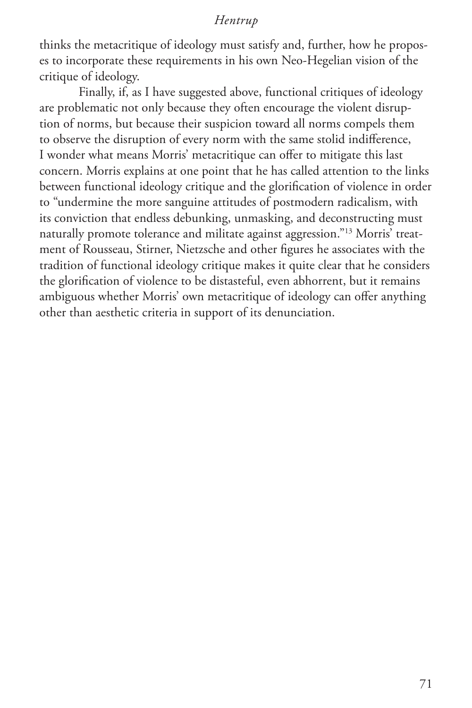#### *Hentrup*

thinks the metacritique of ideology must satisfy and, further, how he proposes to incorporate these requirements in his own Neo-Hegelian vision of the critique of ideology.

Finally, if, as I have suggested above, functional critiques of ideology are problematic not only because they often encourage the violent disruption of norms, but because their suspicion toward all norms compels them to observe the disruption of every norm with the same stolid indifference, I wonder what means Morris' metacritique can offer to mitigate this last concern. Morris explains at one point that he has called attention to the links between functional ideology critique and the glorification of violence in order to "undermine the more sanguine attitudes of postmodern radicalism, with its conviction that endless debunking, unmasking, and deconstructing must naturally promote tolerance and militate against aggression."13 Morris' treatment of Rousseau, Stirner, Nietzsche and other figures he associates with the tradition of functional ideology critique makes it quite clear that he considers the glorification of violence to be distasteful, even abhorrent, but it remains ambiguous whether Morris' own metacritique of ideology can offer anything other than aesthetic criteria in support of its denunciation.